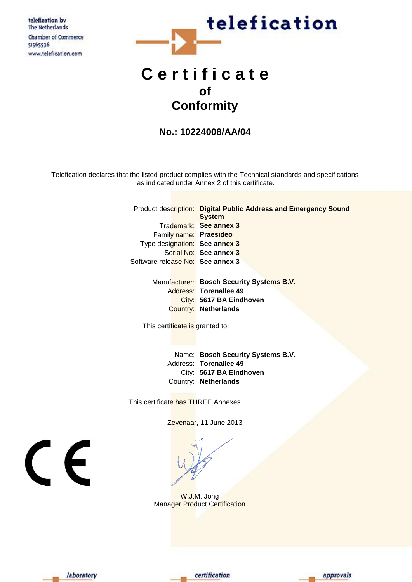telefication by The Netherlands Chamber of Commerce 51565536 www.telefication.com



# **C e r t i f i c a t e of Conformity**

## **No.: 10224008/AA/04**

Telefication declares that the listed product complies with the Technical standards and specifications as indicated under Annex 2 of this certificate.

|                                  | Product description: Digital Public Address and Emergency Sound<br><b>System</b> |
|----------------------------------|----------------------------------------------------------------------------------|
|                                  |                                                                                  |
|                                  | Trademark: See annex 3                                                           |
| Family name: Praesideo           |                                                                                  |
| Type designation: See annex 3    |                                                                                  |
|                                  | Serial No: See annex 3                                                           |
| Software release No: See annex 3 |                                                                                  |
|                                  |                                                                                  |

Manufacturer: **Bosch Security Systems B.V.** Address: **Torenallee 49** City: **5617 BA Eindhoven** Country: **Netherlands**

This certificate is granted to:

Name: **Bosch Security Systems B.V.** Address: **Torenallee 49** City: **5617 BA Eindhoven** Country: **Netherlands**

This certificate has THREE Annexes.

Zevenaar, 11 June 2013

W.J.M. Jong Manager Product Certification

 $\epsilon$ 





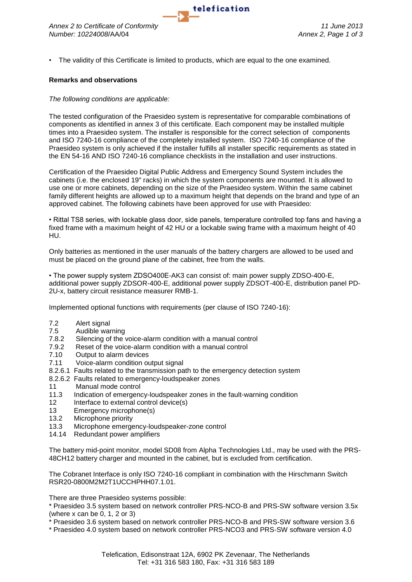

• The validity of this Certificate is limited to products, which are equal to the one examined.

## **Remarks and observations**

## *The following conditions are applicable:*

The tested configuration of the Praesideo system is representative for comparable combinations of components as identified in annex 3 of this certificate. Each component may be installed multiple times into a Praesideo system. The installer is responsible for the correct selection of components and ISO 7240-16 compliance of the completely installed system. ISO 7240-16 compliance of the Praesideo system is only achieved if the installer fulfills all installer specific requirements as stated in the EN 54-16 AND ISO 7240-16 compliance checklists in the installation and user instructions.

Certification of the Praesideo Digital Public Address and Emergency Sound System includes the cabinets (i.e. the enclosed 19" racks) in which the system components are mounted. It is allowed to use one or more cabinets, depending on the size of the Praesideo system. Within the same cabinet family different heights are allowed up to a maximum height that depends on the brand and type of an approved cabinet. The following cabinets have been approved for use with Praesideo:

• Rittal TS8 series, with lockable glass door, side panels, temperature controlled top fans and having a fixed frame with a maximum height of 42 HU or a lockable swing frame with a maximum height of 40 HU.

Only batteries as mentioned in the user manuals of the battery chargers are allowed to be used and must be placed on the ground plane of the cabinet, free from the walls.

• The power supply system ZDSO400E-AK3 can consist of: main power supply ZDSO-400-E, additional power supply ZDSOR-400-E, additional power supply ZDSOT-400-E, distribution panel PD-2U-x, battery circuit resistance measurer RMB-1.

Implemented optional functions with requirements (per clause of ISO 7240-16):

- 7.2 Alert signal
- 7.5 Audible warning
- 7.8.2 Silencing of the voice-alarm condition with a manual control
- 7.9.2 Reset of the voice-alarm condition with a manual control
- 7.10 Output to alarm devices
- 7.11 Voice-alarm condition output signal
- 8.2.6.1 Faults related to the transmission path to the emergency detection system
- 8.2.6.2 Faults related to emergency-loudspeaker zones
- 11 Manual mode control
- 11.3 Indication of emergency-loudspeaker zones in the fault-warning condition
- 12 Interface to external control device(s)
- 13 Emergency microphone(s)
- 13.2 Microphone priority
- 13.3 Microphone emergency-loudspeaker-zone control
- 14.14 Redundant power amplifiers

The battery mid-point monitor, model SD08 from Alpha Technologies Ltd., may be used with the PRS-48CH12 battery charger and mounted in the cabinet, but is excluded from certification.

The Cobranet Interface is only ISO 7240-16 compliant in combination with the Hirschmann Switch RSR20-0800M2M2T1UCCHPHH07.1.01.

There are three Praesideo systems possible:

\* Praesideo 3.5 system based on network controller PRS-NCO-B and PRS-SW software version 3.5x (where x can be 0, 1, 2 or 3)

\* Praesideo 3.6 system based on network controller PRS-NCO-B and PRS-SW software version 3.6

\* Praesideo 4.0 system based on network controller PRS-NCO3 and PRS-SW software version 4.0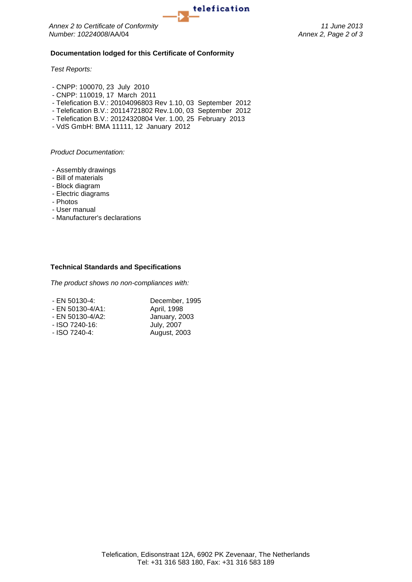

*Number: 10224008*/AA/04 *Annex 2, Page 2 of 3*

## **Documentation lodged for this Certificate of Conformity**

*Test Reports:*

- CNPP: 100070, 23 July 2010
- CNPP: 110019, 17 March 2011
- Telefication B.V.: 20104096803 Rev 1.10, 03 September 2012
- Telefication B.V.: 20114721802 Rev.1.00, 03 September 2012
- Telefication B.V.: 20124320804 Ver. 1.00, 25 February 2013
- VdS GmbH: BMA 11111, 12 January 2012

*Product Documentation:*

- Assembly drawings
- Bill of materials
- Block diagram
- Electric diagrams
- Photos
- User manual
- Manufacturer's declarations

#### **Technical Standards and Specifications**

*The product shows no non-compliances with:*

| - EN 50130-4:    | December, 1995    |
|------------------|-------------------|
| - EN 50130-4/A1: | April, 1998       |
| - EN 50130-4/A2: | January, 2003     |
| $-$ ISO 7240-16: | <b>July, 2007</b> |
| - ISO 7240-4:    | August, 2003      |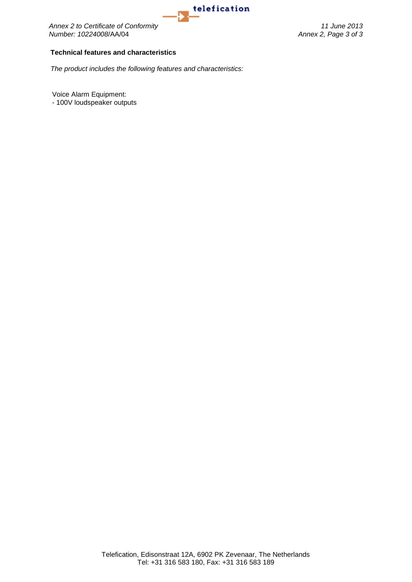

**1elefication**<br>Annex 2 to Certificate of Conformity<br>Number: 10224008/AA/04<br>*Annex 2, Page 3 of 3 Number: 10224008*/AA/04 *Annex 2, Page 3 of 3*

### **Technical features and characteristics**

*The product includes the following features and characteristics:*

Voice Alarm Equipment:

- 100V loudspeaker outputs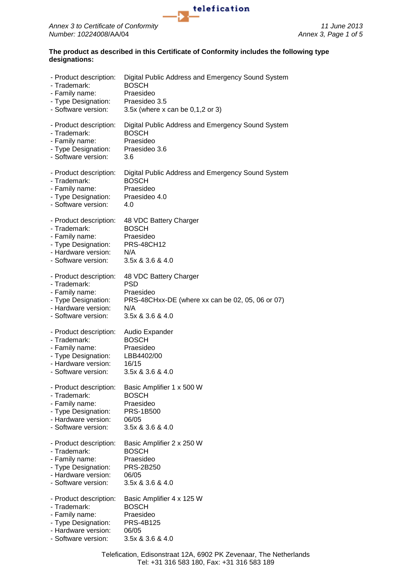

## **The product as described in this Certificate of Conformity includes the following type designations:**

| - Product description: | Digital Public Address and Emergency Sound System |
|------------------------|---------------------------------------------------|
| - Trademark:           | <b>BOSCH</b>                                      |
| - Family name:         | Praesideo                                         |
| - Type Designation:    | Praesideo 3.5                                     |
| - Software version:    | 3.5 $x$ (where x can be 0,1,2 or 3)               |
| - Product description: | Digital Public Address and Emergency Sound System |
| - Trademark:           | <b>BOSCH</b>                                      |
| - Family name:         | Praesideo                                         |
| - Type Designation:    | Praesideo 3.6                                     |
| - Software version:    | 3.6                                               |
| - Product description: | Digital Public Address and Emergency Sound System |
| - Trademark:           | <b>BOSCH</b>                                      |
| - Family name:         | Praesideo                                         |
| - Type Designation:    | Praesideo 4.0                                     |
| - Software version:    | 4.0                                               |
| - Product description: | 48 VDC Battery Charger                            |
| - Trademark:           | <b>BOSCH</b>                                      |
| - Family name:         | Praesideo                                         |
| - Type Designation:    | <b>PRS-48CH12</b>                                 |
| - Hardware version:    | N/A                                               |
| - Software version:    | $3.5x$ & $3.6$ & $4.0$                            |
| - Product description: | 48 VDC Battery Charger                            |
| - Trademark:           | <b>PSD</b>                                        |
| - Family name:         | Praesideo                                         |
| - Type Designation:    | PRS-48CHxx-DE (where xx can be 02, 05, 06 or 07)  |
| - Hardware version:    | N/A                                               |
| - Software version:    | 3.5x & 3.6 & 4.0                                  |
| - Product description: | Audio Expander                                    |
| - Trademark:           | <b>BOSCH</b>                                      |
| - Family name:         | Praesideo                                         |
| - Type Designation:    | LBB4402/00                                        |
| - Hardware version:    | 16/15                                             |
| - Software version:    | 3.5x & 3.6 & 4.0                                  |
| - Product description: | Basic Amplifier 1 x 500 W                         |
| - Trademark:           | <b>BOSCH</b>                                      |
| - Family name:         | Praesideo                                         |
| - Type Designation:    | <b>PRS-1B500</b>                                  |
| - Hardware version:    | 06/05                                             |
| - Software version:    | 3.5x & 3.6 & 4.0                                  |
| - Product description: | Basic Amplifier 2 x 250 W                         |
| - Trademark:           | <b>BOSCH</b>                                      |
| - Family name:         | Praesideo                                         |
| - Type Designation:    | <b>PRS-2B250</b>                                  |
| - Hardware version:    | 06/05                                             |
| - Software version:    | 3.5x & 3.6 & 4.0                                  |
| - Product description: | Basic Amplifier 4 x 125 W                         |
| - Trademark:           | <b>BOSCH</b>                                      |
| - Family name:         | Praesideo                                         |
| - Type Designation:    | PRS-4B125                                         |
| - Hardware version:    | 06/05                                             |
| - Software version:    | 3.5x & 3.6 & 4.0                                  |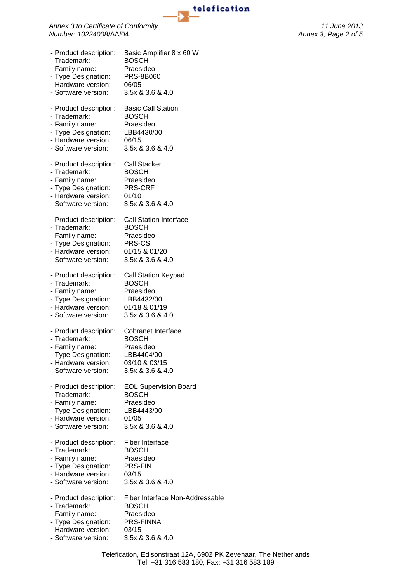

**telefication**<br>Annex 3 to Certificate of Conformity<br>Number: 10224008/AA/04 *11* June 2013 *Number: 10224008*/AA/04 *Annex 3, Page 2 of 5*

| - Product description: | Basic Amplifier 8 x 60 W        |
|------------------------|---------------------------------|
| - Trademark:           | <b>BOSCH</b>                    |
| - Family name:         | Praesideo                       |
| - Type Designation:    | <b>PRS-8B060</b>                |
| - Hardware version:    | 06/05                           |
| - Software version:    | 3.5x & 3.6 & 4.0                |
| - Product description: | <b>Basic Call Station</b>       |
| - Trademark:           | <b>BOSCH</b>                    |
| - Family name:         | Praesideo                       |
| - Type Designation:    | LBB4430/00                      |
| - Hardware version:    | 06/15                           |
| - Software version:    | 3.5x & 3.6 & 4.0                |
| - Product description: | Call Stacker                    |
| - Trademark:           | <b>BOSCH</b>                    |
| - Family name:         | Praesideo                       |
| - Type Designation:    | PRS-CRF                         |
| - Hardware version:    | 01/10                           |
| - Software version:    | 3.5x & 3.6 & 4.0                |
| - Product description: | <b>Call Station Interface</b>   |
| - Trademark:           | <b>BOSCH</b>                    |
| - Family name:         | Praesideo                       |
| - Type Designation:    | <b>PRS-CSI</b>                  |
| - Hardware version:    | 01/15 & 01/20                   |
| - Software version:    | 3.5x & 3.6 & 4.0                |
| - Product description: | Call Station Keypad             |
| - Trademark:           | <b>BOSCH</b>                    |
| - Family name:         | Praesideo                       |
| - Type Designation:    | LBB4432/00                      |
| - Hardware version:    | 01/18 & 01/19                   |
| - Software version:    | 3.5x & 3.6 & 4.0                |
| - Product description: | Cobranet Interface              |
| - Trademark:           | <b>BOSCH</b>                    |
| - Family name:         | Praesideo                       |
| - Type Designation:    | LBB4404/00                      |
| - Hardware version:    | 03/10 & 03/15                   |
| - Software version:    | 3.5x & 3.6 & 4.0                |
| - Product description: | <b>EOL Supervision Board</b>    |
| - Trademark:           | <b>BOSCH</b>                    |
| - Family name:         | Praesideo                       |
| - Type Designation:    | LBB4443/00                      |
| - Hardware version:    | 01/05                           |
| - Software version:    | 3.5x & 3.6 & 4.0                |
| - Product description: | Fiber Interface                 |
| - Trademark:           | <b>BOSCH</b>                    |
| - Family name:         | Praesideo                       |
| - Type Designation:    | PRS-FIN                         |
| - Hardware version:    | 03/15                           |
| - Software version:    | 3.5x & 3.6 & 4.0                |
| - Product description: | Fiber Interface Non-Addressable |
| - Trademark:           | <b>BOSCH</b>                    |
| - Family name:         | Praesideo                       |
| - Type Designation:    | PRS-FINNA                       |
| - Hardware version:    | 03/15                           |
| - Software version:    | 3.5x & 3.6 & 4.0                |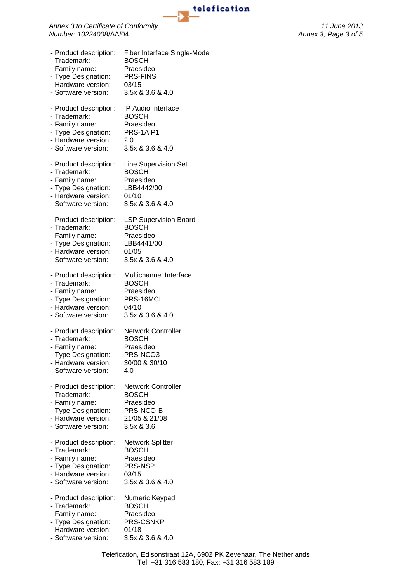

**1elefication**<br>Annex 3 to Certificate of Conformity<br>Number: 10224008/AA/04<br>*Annex 3, Page 3 of 5 Number: 10224008*/AA/04 *Annex 3, Page 3 of 5*

| - Product description: | <b>Fiber Interface Single-Mode</b> |
|------------------------|------------------------------------|
| - Trademark:           | <b>BOSCH</b>                       |
| - Family name:         | Praesideo                          |
| - Type Designation:    | <b>PRS-FINS</b>                    |
| - Hardware version:    | 03/15                              |
| - Software version:    | 3.5x & 3.6 & 4.0                   |
| - Product description: | IP Audio Interface                 |
| - Trademark:           | <b>BOSCH</b>                       |
| - Family name:         | Praesideo                          |
| - Type Designation:    | PRS-1AIP1                          |
| - Hardware version:    | 2.0                                |
| - Software version:    | 3.5x & 3.6 & 4.0                   |
| - Product description: | Line Supervision Set               |
| - Trademark:           | <b>BOSCH</b>                       |
| - Family name:         | Praesideo                          |
| - Type Designation:    | LBB4442/00                         |
| - Hardware version:    | 01/10                              |
| - Software version:    | 3.5x & 3.6 & 4.0                   |
| - Product description: | <b>LSP Supervision Board</b>       |
| - Trademark:           | <b>BOSCH</b>                       |
| - Family name:         | Praesideo                          |
| - Type Designation:    | LBB4441/00                         |
| - Hardware version:    | 01/05                              |
| - Software version:    | 3.5x & 3.6 & 4.0                   |
| - Product description: | Multichannel Interface             |
| - Trademark:           | <b>BOSCH</b>                       |
| - Family name:         | Praesideo                          |
| - Type Designation:    | PRS-16MCI                          |
| - Hardware version:    | 04/10                              |
| - Software version:    | 3.5x & 3.6 & 4.0                   |
| - Product description: | <b>Network Controller</b>          |
| - Trademark:           | <b>BOSCH</b>                       |
| - Family name:         | Praesideo                          |
| - Type Designation:    | PRS-NCO3                           |
| - Hardware version:    | 30/00 & 30/10                      |
| - Software version:    | 4.0                                |
| - Product description: | <b>Network Controller</b>          |
| - Trademark:           | <b>BOSCH</b>                       |
| - Family name:         | Praesideo                          |
| - Type Designation:    | PRS-NCO-B                          |
| - Hardware version:    | 21/05 & 21/08                      |
| - Software version:    | 3.5x & 3.6                         |
| - Product description: | Network Splitter                   |
| - Trademark:           | <b>BOSCH</b>                       |
| - Family name:         | Praesideo                          |
| - Type Designation:    | PRS-NSP                            |
| - Hardware version:    | 03/15                              |
| - Software version:    | 3.5x & 3.6 & 4.0                   |
| - Product description: | Numeric Keypad                     |
| - Trademark:           | <b>BOSCH</b>                       |
| - Family name:         | Praesideo                          |
| - Type Designation:    | PRS-CSNKP                          |
| - Hardware version:    | 01/18                              |
| - Software version:    | 3.5x & 3.6 & 4.0                   |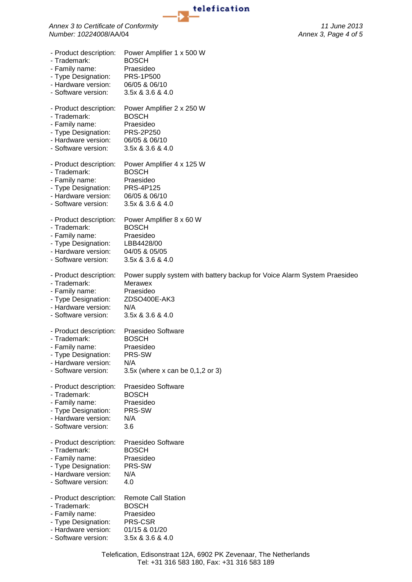

**1elefication**<br>Annex 3 to Certificate of Conformity<br>Number: 10224008/AA/04<br>Annex 3, Page 4 of 5 *Number: 10224008*/AA/04 *Annex 3, Page 4 of 5*

| - Product description: | Power Amplifier 1 x 500 W                                                |
|------------------------|--------------------------------------------------------------------------|
| - Trademark:           | <b>BOSCH</b>                                                             |
| - Family name:         | Praesideo                                                                |
| - Type Designation:    | <b>PRS-1P500</b>                                                         |
| - Hardware version:    | 06/05 & 06/10                                                            |
| - Software version:    | 3.5x & 3.6 & 4.0                                                         |
| - Product description: | Power Amplifier 2 x 250 W                                                |
| - Trademark:           | <b>BOSCH</b>                                                             |
| - Family name:         | Praesideo                                                                |
| - Type Designation:    | <b>PRS-2P250</b>                                                         |
| - Hardware version:    | 06/05 & 06/10                                                            |
| - Software version:    | 3.5x & 3.6 & 4.0                                                         |
| - Product description: | Power Amplifier 4 x 125 W                                                |
| - Trademark:           | <b>BOSCH</b>                                                             |
| - Family name:         | Praesideo                                                                |
| - Type Designation:    | <b>PRS-4P125</b>                                                         |
| - Hardware version:    | 06/05 & 06/10                                                            |
| - Software version:    | 3.5x & 3.6 & 4.0                                                         |
| - Product description: | Power Amplifier 8 x 60 W                                                 |
| - Trademark:           | <b>BOSCH</b>                                                             |
| - Family name:         | Praesideo                                                                |
| - Type Designation:    | LBB4428/00                                                               |
| - Hardware version:    | 04/05 & 05/05                                                            |
| - Software version:    | 3.5x & 3.6 & 4.0                                                         |
| - Product description: | Power supply system with battery backup for Voice Alarm System Praesideo |
| - Trademark:           | <b>Merawex</b>                                                           |
| - Family name:         | Praesideo                                                                |
| - Type Designation:    | ZDSO400E-AK3                                                             |
| - Hardware version:    | N/A                                                                      |
| - Software version:    | 3.5x & 3.6 & 4.0                                                         |
| - Product description: | Praesideo Software                                                       |
| - Trademark:           | <b>BOSCH</b>                                                             |
| - Family name:         | Praesideo                                                                |
| - Type Designation:    | PRS-SW                                                                   |
| - Hardware version:    | N/A                                                                      |
| - Software version:    | 3.5 $x$ (where x can be 0,1,2 or 3)                                      |
| - Product description: | Praesideo Software                                                       |
| - Trademark:           | <b>BOSCH</b>                                                             |
| - Family name:         | Praesideo                                                                |
| - Type Designation:    | PRS-SW                                                                   |
| - Hardware version:    | N/A                                                                      |
| - Software version:    | 3.6                                                                      |
| - Product description: | Praesideo Software                                                       |
| - Trademark:           | <b>BOSCH</b>                                                             |
| - Family name:         | Praesideo                                                                |
| - Type Designation:    | PRS-SW                                                                   |
| - Hardware version:    | N/A                                                                      |
| - Software version:    | 4.0                                                                      |
| - Product description: | <b>Remote Call Station</b>                                               |
| - Trademark:           | <b>BOSCH</b>                                                             |
| - Family name:         | Praesideo                                                                |
| - Type Designation:    | PRS-CSR                                                                  |
| - Hardware version:    | 01/15 & 01/20                                                            |
| - Software version:    | 3.5x & 3.6 & 4.0                                                         |